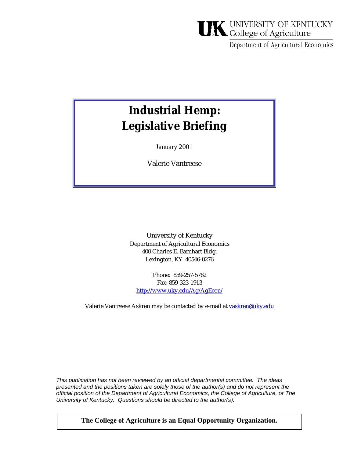# **UK** UNIVERSITY OF KENTUCKY

Department of Agricultural Economics

## **Industrial Hemp: Legislative Briefing**

January 2001

Valerie Vantreese

University of Kentucky Department of Agricultural Economics 400 Charles E. Barnhart Bldg. Lexington, KY 40546-0276

Phone: 859-257-5762 Fax: 859-323-1913 http://www.uky.edu/Ag/AgEcon/

Valerie Vantreese Askren may be contacted by e-mail at [vaskren@uky.edu](mailto:vaskren@uky.edu)

*This publication has not been reviewed by an official departmental committee. The ideas presented and the positions taken are solely those of the author(s) and do not represent the official position of the Department of Agricultural Economics, the College of Agriculture, or The University of Kentucky. Questions should be directed to the author(s).* 

**The College of Agriculture is an Equal Opportunity Organization.**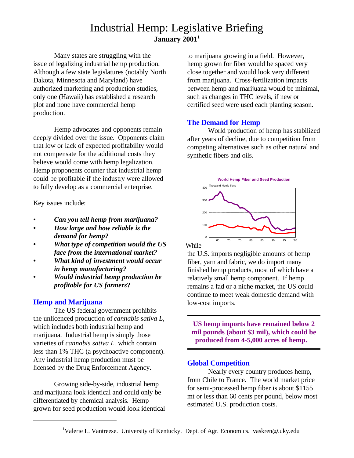### Industrial Hemp: Legislative Briefing **January 20011**

Many states are struggling with the issue of legalizing industrial hemp production. Although a few state legislatures (notably North Dakota, Minnesota and Maryland) have authorized marketing and production studies, only one (Hawaii) has established a research plot and none have commercial hemp production.

Hemp advocates and opponents remain deeply divided over the issue. Opponents claim that low or lack of expected profitability would not compensate for the additional costs they believe would come with hemp legalization. Hemp proponents counter that industrial hemp could be profitable if the industry were allowed to fully develop as a commercial enterprise.

Key issues include:

- *Can you tell hemp from marijuana?*
- *• How large and how reliable is the demand for hemp?*
- *• What type of competition would the US face from the international market?*
- *• What kind of investment would occur in hemp manufacturing?*
- **•** *Would industrial hemp production be profitable for US farmers***?**

#### **Hemp and Marijuana**

The US federal government prohibits the unlicenced production of *cannabis sativa L*, which includes both industrial hemp and marijuana. Industrial hemp is simply those varieties of *cannabis sativa L.* which contain less than 1% THC (a psychoactive component). Any industrial hemp production must be licensed by the Drug Enforcement Agency.

Growing side-by-side, industrial hemp and marijuana look identical and could only be differentiated by chemical analysis. Hemp grown for seed production would look identical to marijuana growing in a field. However, hemp grown for fiber would be spaced very close together and would look very different from marijuana. Cross-fertilization impacts between hemp and marijuana would be minimal, such as changes in THC levels, if new or certified seed were used each planting season.

#### **The Demand for Hemp**

World production of hemp has stabilized after years of decline, due to competition from competing alternatives such as other natural and synthetic fibers and oils.



While

the U.S. imports negligible amounts of hemp fiber, yarn and fabric, we do import many finished hemp products, most of which have a relatively small hemp component. If hemp remains a fad or a niche market, the US could continue to meet weak domestic demand with low-cost imports.

**US hemp imports have remained below 2 mil pounds (about \$3 mil), which could be produced from 4-5,000 acres of hemp.** 

#### **Global Competition**

Nearly every country produces hemp, from Chile to France. The world market price for semi-processed hemp fiber is about \$1155 mt or less than 60 cents per pound, below most estimated U.S. production costs.